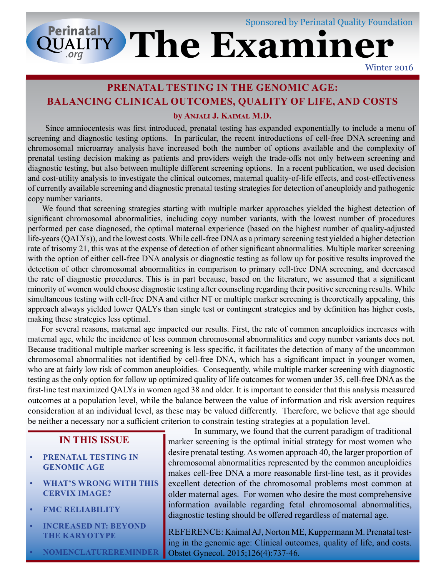# **QUALITY The Examiner** Sponsored by Perinatal Quality Foundation

Winter 2016

## **PRENATAL TESTING IN THE GENOMIC AGE: BALANCING CLINICAL OUTCOMES, QUALITY OF LIFE, AND COSTS**

#### **by Anjali J. Kaimal M.D.**

 Since amniocentesis was first introduced, prenatal testing has expanded exponentially to include a menu of screening and diagnostic testing options. In particular, the recent introductions of cell-free DNA screening and chromosomal microarray analysis have increased both the number of options available and the complexity of prenatal testing decision making as patients and providers weigh the trade-offs not only between screening and diagnostic testing, but also between multiple different screening options. In a recent publication, we used decision and cost-utility analysis to investigate the clinical outcomes, maternal quality-of-life effects, and cost-effectiveness of currently available screening and diagnostic prenatal testing strategies for detection of aneuploidy and pathogenic copy number variants.

 We found that screening strategies starting with multiple marker approaches yielded the highest detection of significant chromosomal abnormalities, including copy number variants, with the lowest number of procedures performed per case diagnosed, the optimal maternal experience (based on the highest number of quality-adjusted life-years (QALYs)), and the lowest costs. While cell-free DNA as a primary screening test yielded a higher detection rate of trisomy 21, this was at the expense of detection of other significant abnormalities. Multiple marker screening with the option of either cell-free DNA analysis or diagnostic testing as follow up for positive results improved the detection of other chromosomal abnormalities in comparison to primary cell-free DNA screening, and decreased the rate of diagnostic procedures. This is in part because, based on the literature, we assumed that a significant minority of women would choose diagnostic testing after counseling regarding their positive screening results. While simultaneous testing with cell-free DNA and either NT or multiple marker screening is theoretically appealing, this approach always yielded lower QALYs than single test or contingent strategies and by definition has higher costs, making these strategies less optimal.

 For several reasons, maternal age impacted our results. First, the rate of common aneuploidies increases with maternal age, while the incidence of less common chromosomal abnormalities and copy number variants does not. Because traditional multiple marker screening is less specific, it facilitates the detection of many of the uncommon chromosomal abnormalities not identified by cell-free DNA, which has a significant impact in younger women, who are at fairly low risk of common aneuploidies. Consequently, while multiple marker screening with diagnostic testing as the only option for follow up optimized quality of life outcomes for women under 35, cell-free DNA as the first-line test maximized QALYs in women aged 38 and older. It is important to consider that this analysis measured outcomes at a population level, while the balance between the value of information and risk aversion requires consideration at an individual level, as these may be valued differently. Therefore, we believe that age should be neither a necessary nor a sufficient criterion to constrain testing strategies at a population level.

### **IN THIS ISSUE**

- **• PRENATAL TESTING IN GENOMIC AGE**
- **• WHAT'S WRONG WITH THIS CERVIX IMAGE?**
- **• FMC RELIABILITY**
- **• INCREASED NT: BEYOND THE KARYOTYPE**

**• NOMENCLATURE REMINDER**

 desire prenatal testing. As women approach 40, the larger proportion of In summary, we found that the current paradigm of traditional marker screening is the optimal initial strategy for most women who chromosomal abnormalities represented by the common aneuploidies makes cell-free DNA a more reasonable first-line test, as it provides excellent detection of the chromosomal problems most common at older maternal ages. For women who desire the most comprehensive information available regarding fetal chromosomal abnormalities, diagnostic testing should be offered regardless of maternal age.

REFERENCE: Kaimal AJ, Norton ME, Kuppermann M. Prenatal testing in the genomic age: Clinical outcomes, quality of life, and costs. Obstet Gynecol. 2015;126(4):737-46.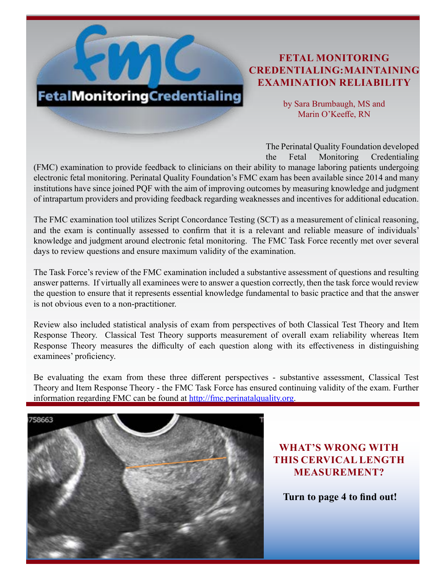## **FETAL MONITORING CREDENTIALING: MAINTAINING EXAMINATION RELIABILITY**

by Sara Brumbaugh, MS and Marin O'Keeffe, RN

The Perinatal Quality Foundation developed the Fetal Monitoring Credentialing (FMC) examination to provide feedback to clinicians on their ability to manage laboring patients undergoing electronic fetal monitoring. Perinatal Quality Foundation's FMC exam has been available since 2014 and many institutions have since joined PQF with the aim of improving outcomes by measuring knowledge and judgment of intrapartum providers and providing feedback regarding weaknesses and incentives for additional education.

The FMC examination tool utilizes Script Concordance Testing (SCT) as a measurement of clinical reasoning, and the exam is continually assessed to confirm that it is a relevant and reliable measure of individuals' knowledge and judgment around electronic fetal monitoring. The FMC Task Force recently met over several days to review questions and ensure maximum validity of the examination.

The Task Force's review of the FMC examination included a substantive assessment of questions and resulting answer patterns. If virtually all examinees were to answer a question correctly, then the task force would review the question to ensure that it represents essential knowledge fundamental to basic practice and that the answer is not obvious even to a non-practitioner.

Review also included statistical analysis of exam from perspectives of both Classical Test Theory and Item Response Theory. Classical Test Theory supports measurement of overall exam reliability whereas Item Response Theory measures the difficulty of each question along with its effectiveness in distinguishing examinees' proficiency.

Be evaluating the exam from these three different perspectives - substantive assessment, Classical Test Theory and Item Response Theory - the FMC Task Force has ensured continuing validity of the exam. Further information regarding FMC can be found at [http://fmc.perinatalquality.org.](http://fmc.perinatalquality.org)



**FetalMonitoringCredentialing** 

## **WHAT'S WRONG WITH THIS CERVICAL LENGTH MEASUREMENT?**

 **Turn to page 4 to find out!**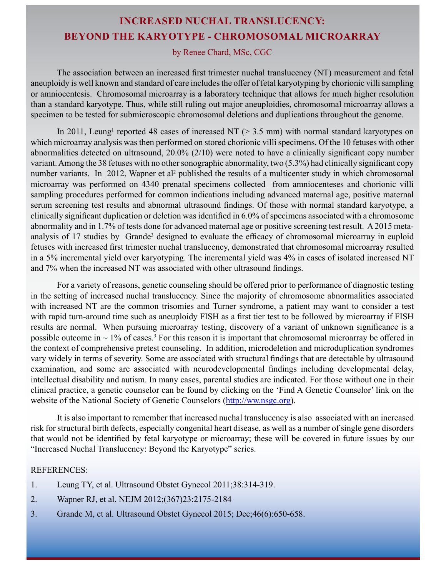## **INCREASED NUCHAL TRANSLUCENCY: BEYOND THE KARYOTYPE - CHROMOSOMAL MICROARRAY**

#### by Renee Chard, MSc, CGC

The association between an increased first trimester nuchal translucency (NT) measurement and fetal aneuploidy is well known and standard of care includes the offer of fetal karyotyping by chorionic villi sampling or amniocentesis. Chromosomal microarray is a laboratory technique that allows for much higher resolution than a standard karyotype. Thus, while still ruling out major aneuploidies, chromosomal microarray allows a specimen to be tested for submicroscopic chromosomal deletions and duplications throughout the genome.

In 2011, Leung<sup>1</sup> reported 48 cases of increased NT ( $> 3.5$  mm) with normal standard karyotypes on which microarray analysis was then performed on stored chorionic villi specimens. Of the 10 fetuses with other abnormalities detected on ultrasound, 20.0% (2/10) were noted to have a clinically significant copy number variant. Among the 38 fetuses with no other sonographic abnormality, two (5.3%) had clinically significant copy number variants. In 2012, Wapner et al<sup>2</sup> published the results of a multicenter study in which chromosomal microarray was performed on 4340 prenatal specimens collected from amniocenteses and chorionic villi sampling procedures performed for common indications including advanced maternal age, positive maternal serum screening test results and abnormal ultrasound findings. Of those with normal standard karyotype, a clinically significant duplication or deletion was identified in 6.0% of specimens associated with a chromosome abnormality and in 1.7% of tests done for advanced maternal age or positive screening test result. A 2015 metaanalysis of 17 studies by Grande<sup>3</sup> designed to evaluate the efficacy of chromosomal microarray in euploid fetuses with increased first trimester nuchal translucency, demonstrated that chromosomal microarray resulted in a 5% incremental yield over karyotyping. The incremental yield was 4% in cases of isolated increased NT and 7% when the increased NT was associated with other ultrasound findings.

For a variety of reasons, genetic counseling should be offered prior to performance of diagnostic testing in the setting of increased nuchal translucency. Since the majority of chromosome abnormalities associated with increased NT are the common trisomies and Turner syndrome, a patient may want to consider a test with rapid turn-around time such as aneuploidy FISH as a first tier test to be followed by microarray if FISH results are normal. When pursuing microarray testing, discovery of a variant of unknown significance is a possible outcome in  $\sim 1\%$  of cases.<sup>3</sup> For this reason it is important that chromosomal microarray be offered in the context of comprehensive pretest counseling. In addition, microdeletion and microduplication syndromes vary widely in terms of severity. Some are associated with structural findings that are detectable by ultrasound examination, and some are associated with neurodevelopmental findings including developmental delay, intellectual disability and autism. In many cases, parental studies are indicated. For those without one in their clinical practice, a genetic counselor can be found by clicking on the 'Find A Genetic Counselor' link on the website of the National Society of Genetic Counselors [\(http://ww.nsgc.org](http://www.nsgc.org)).

It is also important to remember that increased nuchal translucency is also associated with an increased risk for structural birth defects, especially congenital heart disease, as well as a number of single gene disorders that would not be identified by fetal karyotype or microarray; these will be covered in future issues by our "Increased Nuchal Translucency: Beyond the Karyotype" series.

#### REFERENCES:

- 1. Leung TY, et al. Ultrasound Obstet Gynecol 2011;38:314-319.
- 2. Wapner RJ, et al. NEJM 2012;(367)23:2175-2184
- 3. Grande M, et al. Ultrasound Obstet Gynecol 2015; Dec;46(6):650-658.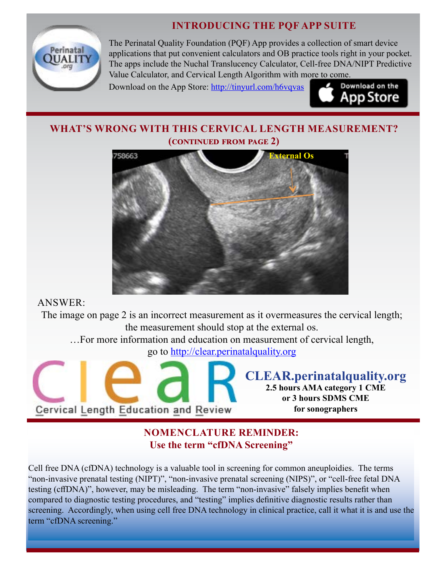## **INTRODUCING THE PQF APP SUITE**



The Perinatal Quality Foundation (PQF) App provides a collection of smart device applications that put convenient calculators and OB practice tools right in your pocket. The apps include the Nuchal Translucency Calculator, Cell-free DNA/NIPT Predictive Value Calculator, and Cervical Length Algorithm with m[ore to come.](http://tinyurl.com/h6vqvas) 

Download on the App Store: <http://tinyurl.com/h6vqvas>



## **WHAT'S WRONG WITH THIS CERVICAL LENGTH MEASUREMENT? (continued from page 2)**



ANSWER:

The image on page 2 is an incorrect measurement as it overmeasures the cervical length; the measurement should stop at the external os.

…For more information and education on measurement of cervical length,

go to [http://clear.perinatalquality.org]( http://clear.perinatalquality.org)



## **NOMENCLATURE REMINDER: Use the term "cfDNA Screening"**

Cell free DNA (cfDNA) technology is a valuable tool in screening for common aneuploidies. The terms "non-invasive prenatal testing (NIPT)", "non-invasive prenatal screening (NIPS)", or "cell-free fetal DNA testing (cffDNA)", however, may be misleading. The term "non-invasive" falsely implies benefit when compared to diagnostic testing procedures, and "testing" implies definitive diagnostic results rather than screening. Accordingly, when using cell free DNA technology in clinical practice, call it what it is and use the term "cfDNA screening."